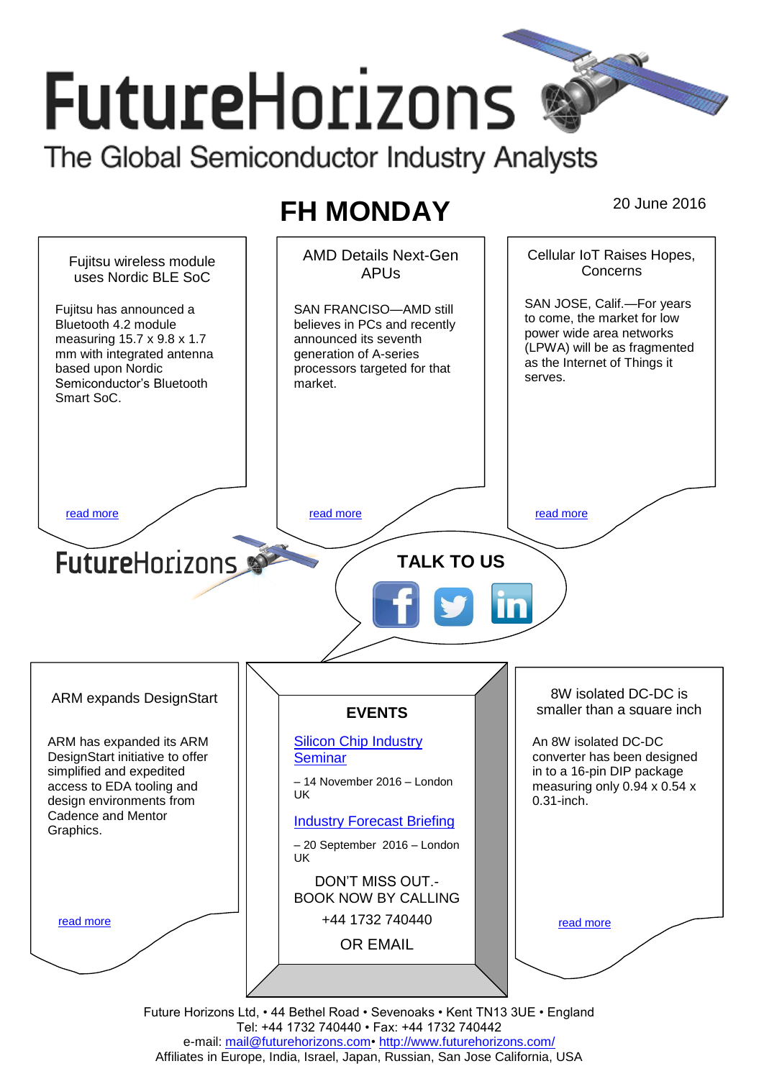# **FutureHorizons** The Global Semiconductor Industry Analysts

# **FH MONDAY** 20 June 2016



Tel: +44 1732 740440 • Fax: +44 1732 740442 e-mail: mail@futurehorizons.com• http://www.futurehorizons.com/ Affiliates in Europe, India, Israel, Japan, Russian, San Jose California, USA